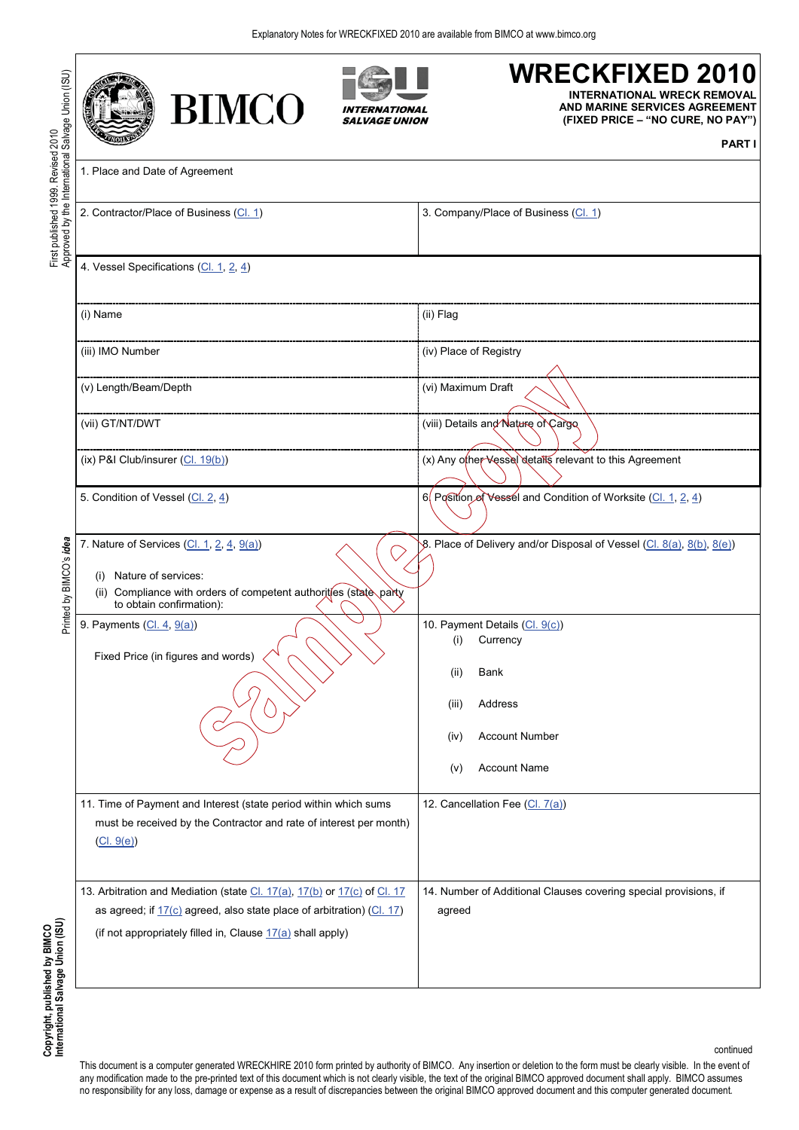Explanatory Notes for WRECKFIXED 2010 are available from BIMCO at www.bimco.org

| First published 1999. Revised 2010<br>Approved by the International Salvage Union (ISU) | <b>BIMCO</b><br>INTERNATIONAL<br><i>SALVAGE UNION</i>                                                                                                                                                             | <b>WRECKFIXED 2010</b><br><b>INTERNATIONAL WRECK REMOVAL</b><br>AND MARINE SERVICES AGREEMENT<br>(FIXED PRICE - "NO CURE, NO PAY") |  |  |  |
|-----------------------------------------------------------------------------------------|-------------------------------------------------------------------------------------------------------------------------------------------------------------------------------------------------------------------|------------------------------------------------------------------------------------------------------------------------------------|--|--|--|
|                                                                                         | <b>PARTI</b>                                                                                                                                                                                                      |                                                                                                                                    |  |  |  |
|                                                                                         | 1. Place and Date of Agreement                                                                                                                                                                                    |                                                                                                                                    |  |  |  |
|                                                                                         | 2. Contractor/Place of Business (Cl. 1)                                                                                                                                                                           | 3. Company/Place of Business (Cl. 1)                                                                                               |  |  |  |
|                                                                                         | 4. Vessel Specifications (Cl. 1, 2, 4)                                                                                                                                                                            |                                                                                                                                    |  |  |  |
|                                                                                         | (i) Name                                                                                                                                                                                                          | (ii) Flag                                                                                                                          |  |  |  |
|                                                                                         | (iii) IMO Number                                                                                                                                                                                                  | (iv) Place of Registry                                                                                                             |  |  |  |
|                                                                                         | (v) Length/Beam/Depth                                                                                                                                                                                             | (vi) Maximum Draft                                                                                                                 |  |  |  |
|                                                                                         | (vii) GT/NT/DWT                                                                                                                                                                                                   | (viii) Details and Nature of Cargo                                                                                                 |  |  |  |
|                                                                                         | $(ix)$ P&I Club/insurer $(CL. 19(b))$                                                                                                                                                                             | (x) Any other Vessel details relevant to this Agreement                                                                            |  |  |  |
|                                                                                         | 5. Condition of Vessel (Cl. 2, 4)                                                                                                                                                                                 | 6 Position of Vessel and Condition of Worksite (Cl. 1, 2, 4)                                                                       |  |  |  |
| Printed by BIMCO's idea                                                                 | 7. Nature of Services (Cl. 1, 2, 4, 9(a))<br>(i) Nature of services:<br>(ii) Compliance with orders of competent authorities (state party<br>to obtain confirmation):                                             | 8. Place of Delivery and/or Disposal of Vessel (Cl. 8(a), 8(b), 8(e))                                                              |  |  |  |
|                                                                                         | 9. Payments (Cl. 4, 9(a))                                                                                                                                                                                         | 10. Payment Details (Cl. 9(c))<br>Currency<br>(i)                                                                                  |  |  |  |
|                                                                                         | Fixed Price (in figures and words)                                                                                                                                                                                | Bank<br>(ii)                                                                                                                       |  |  |  |
|                                                                                         |                                                                                                                                                                                                                   | Address<br>(iii)                                                                                                                   |  |  |  |
|                                                                                         |                                                                                                                                                                                                                   | <b>Account Number</b><br>(iv)                                                                                                      |  |  |  |
|                                                                                         |                                                                                                                                                                                                                   | <b>Account Name</b><br>(v)                                                                                                         |  |  |  |
|                                                                                         | 11. Time of Payment and Interest (state period within which sums<br>must be received by the Contractor and rate of interest per month)<br>CL.9(e)                                                                 | 12. Cancellation Fee (Cl. 7(a))                                                                                                    |  |  |  |
|                                                                                         | 13. Arbitration and Mediation (state Cl. 17(a), 17(b) or 17(c) of Cl. 17<br>as agreed; if $17(c)$ agreed, also state place of arbitration) (Cl. 17)<br>(if not appropriately filled in, Clause 17(a) shall apply) | 14. Number of Additional Clauses covering special provisions, if<br>agreed                                                         |  |  |  |
| Copyright, published by BIMCO<br>International Salvage Union (ISU)                      |                                                                                                                                                                                                                   | continued                                                                                                                          |  |  |  |

This document is a computer generated WRECKHIRE 2010 form printed by authority of BIMCO. Any insertion or deletion to the form must be clearly visible. In the event of any modification made to the pre-printed text of this document which is not clearly visible, the text of the original BIMCO approved document shall apply. BIMCO assumes no responsibility for any loss, damage or expense as a result of discrepancies between the original BIMCO approved document and this computer generated document.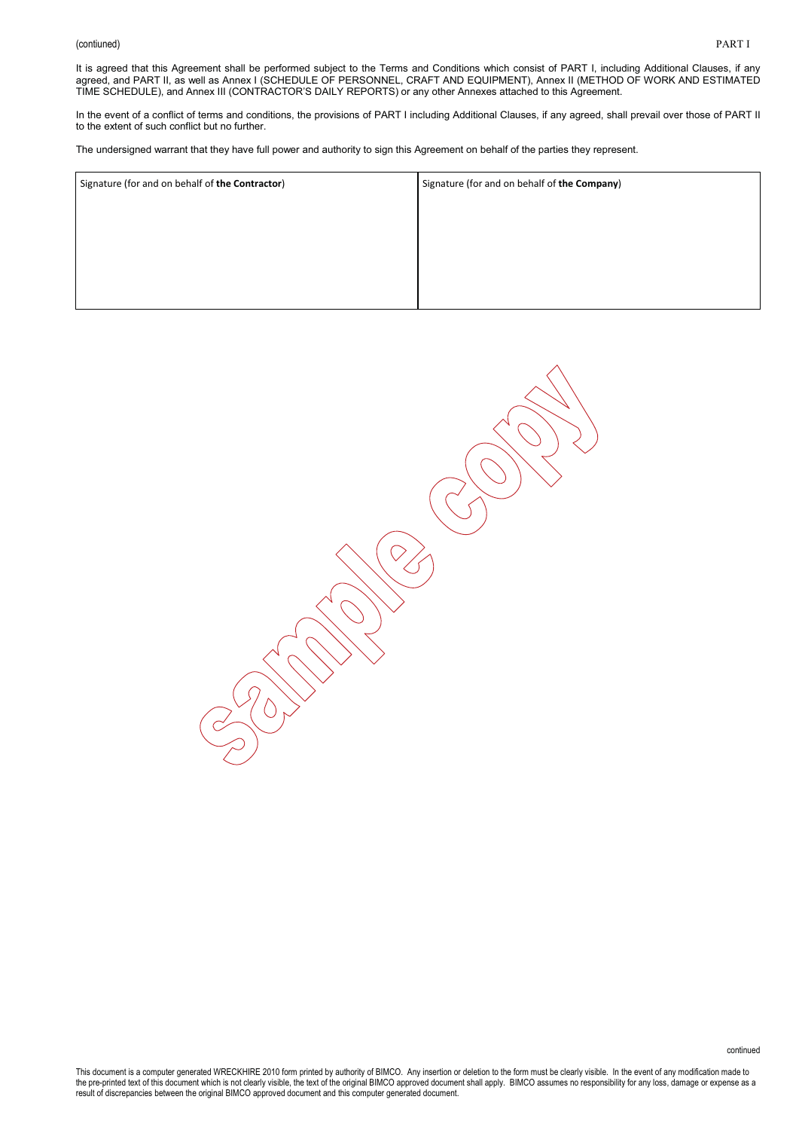It is agreed that this Agreement shall be performed subject to the Terms and Conditions which consist of PART I, including Additional Clauses, if any agreed, and PART II, as well as Annex I (SCHEDULE OF PERSONNEL, CRAFT AND EQUIPMENT), Annex II (METHOD OF WORK AND ESTIMATED TIME SCHEDULE), and Annex III (CONTRACTOR'S DAILY REPORTS) or any other Annexes attached to this Agreement.

In the event of a conflict of terms and conditions, the provisions of PART I including Additional Clauses, if any agreed, shall prevail over those of PART II to the extent of such conflict but no further.

The undersigned warrant that they have full power and authority to sign this Agreement on behalf of the parties they represent.

| Signature (for and on behalf of the Contractor) | Signature (for and on behalf of the Company) |
|-------------------------------------------------|----------------------------------------------|
|                                                 |                                              |
|                                                 |                                              |
|                                                 |                                              |
|                                                 |                                              |
|                                                 |                                              |

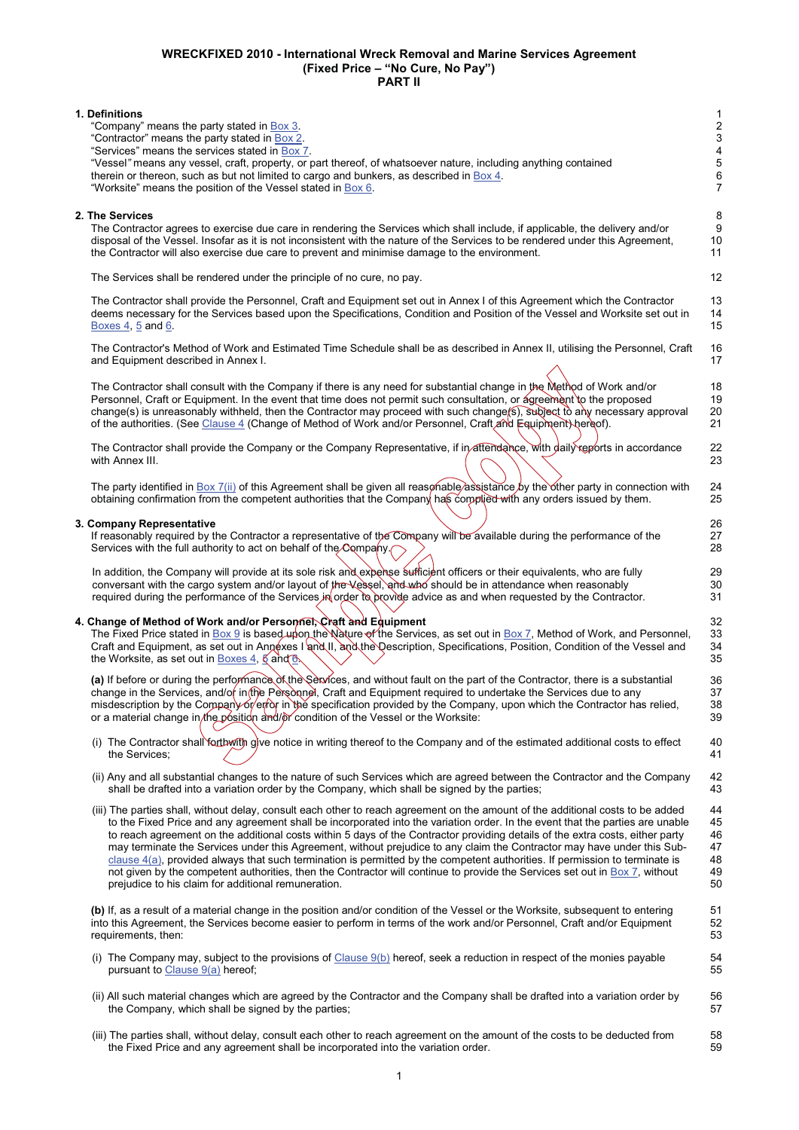| 1. Definitions<br>"Company" means the party stated in <b>Box 3</b> .<br>"Contractor" means the party stated in Box 2.<br>"Services" means the services stated in Box 7.<br>"Vessel" means any vessel, craft, property, or part thereof, of whatsoever nature, including anything contained<br>therein or thereon, such as but not limited to cargo and bunkers, as described in Box 4.<br>"Worksite" means the position of the Vessel stated in Box 6.                                                                                                                                                                                                                                                                                                                                                                                               | 1<br>$\boldsymbol{2}$<br>$\ensuremath{\mathsf{3}}$<br>$\overline{\mathbf{4}}$<br>$\begin{array}{c} 5 \\ 6 \end{array}$<br>$\overline{7}$ |
|------------------------------------------------------------------------------------------------------------------------------------------------------------------------------------------------------------------------------------------------------------------------------------------------------------------------------------------------------------------------------------------------------------------------------------------------------------------------------------------------------------------------------------------------------------------------------------------------------------------------------------------------------------------------------------------------------------------------------------------------------------------------------------------------------------------------------------------------------|------------------------------------------------------------------------------------------------------------------------------------------|
| 2. The Services<br>The Contractor agrees to exercise due care in rendering the Services which shall include, if applicable, the delivery and/or<br>disposal of the Vessel. Insofar as it is not inconsistent with the nature of the Services to be rendered under this Agreement,<br>the Contractor will also exercise due care to prevent and minimise damage to the environment.                                                                                                                                                                                                                                                                                                                                                                                                                                                                   | 8<br>9<br>10<br>11                                                                                                                       |
| The Services shall be rendered under the principle of no cure, no pay.                                                                                                                                                                                                                                                                                                                                                                                                                                                                                                                                                                                                                                                                                                                                                                               | 12                                                                                                                                       |
| The Contractor shall provide the Personnel, Craft and Equipment set out in Annex I of this Agreement which the Contractor<br>deems necessary for the Services based upon the Specifications, Condition and Position of the Vessel and Worksite set out in<br>Boxes 4, 5 and 6.                                                                                                                                                                                                                                                                                                                                                                                                                                                                                                                                                                       | 13<br>14<br>15                                                                                                                           |
| The Contractor's Method of Work and Estimated Time Schedule shall be as described in Annex II, utilising the Personnel, Craft<br>and Equipment described in Annex I.                                                                                                                                                                                                                                                                                                                                                                                                                                                                                                                                                                                                                                                                                 | 16<br>17                                                                                                                                 |
| The Contractor shall consult with the Company if there is any need for substantial change in the Method of Work and/or<br>Personnel, Craft or Equipment. In the event that time does not permit such consultation, or agreement to the proposed<br>change(s) is unreasonably withheld, then the Contractor may proceed with such change(s), subject to any necessary approval<br>of the authorities. (See Clause 4 (Change of Method of Work and/or Personnel, Craft, and Equipment) hereof).                                                                                                                                                                                                                                                                                                                                                        | 18<br>19<br>20<br>21                                                                                                                     |
| The Contractor shall provide the Company or the Company Representative, if in attendance, with daily reports in accordance<br>with Annex III.                                                                                                                                                                                                                                                                                                                                                                                                                                                                                                                                                                                                                                                                                                        | 22<br>23                                                                                                                                 |
| The party identified in $\underline{Box 7(ii)}$ of this Agreement shall be given all reasonable assistance by the other party in connection with<br>obtaining confirmation from the competent authorities that the Company has complied with any orders issued by them.                                                                                                                                                                                                                                                                                                                                                                                                                                                                                                                                                                              | 24<br>25                                                                                                                                 |
| 3. Company Representative<br>If reasonably required by the Contractor a representative of the Company will be available during the performance of the<br>Services with the full authority to act on behalf of the Company                                                                                                                                                                                                                                                                                                                                                                                                                                                                                                                                                                                                                            | 26<br>27<br>28                                                                                                                           |
| In addition, the Company will provide at its sole risk and expense sufficient officers or their equivalents, who are fully<br>conversant with the cargo system and/or layout of the Vessel, and who should be in attendance when reasonably<br>required during the performance of the Services in order to provide advice as and when requested by the Contractor.                                                                                                                                                                                                                                                                                                                                                                                                                                                                                   | 29<br>30<br>31                                                                                                                           |
| 4. Change of Method of Work and/or Personnel, Craft and Equipment<br>The Fixed Price stated in $Box 9$ is based upon the Nature of the Services, as set out in $Box 7$ , Method of Work, and Personnel,<br>Craft and Equipment, as set out in Annéxes I and II, and the Description, Specifications, Position, Condition of the Vessel and<br>the Worksite, as set out in Boxes 4, § and <b>6</b>                                                                                                                                                                                                                                                                                                                                                                                                                                                    | 32<br>33<br>34<br>35                                                                                                                     |
| (a) If before or during the performance of the Services, and without fault on the part of the Contractor, there is a substantial<br>change in the Services, and/of in (the Personnel, Craft and Equipment required to undertake the Services due to any<br>misdescription by the Company or/error in the specification provided by the Company, upon which the Contractor has relied,<br>or a material change in the position and/or condition of the Vessel or the Worksite:                                                                                                                                                                                                                                                                                                                                                                        | 36<br>37<br>38<br>39                                                                                                                     |
| (i) The Contractor shall forthwith give notice in writing thereof to the Company and of the estimated additional costs to effect<br>the Services:                                                                                                                                                                                                                                                                                                                                                                                                                                                                                                                                                                                                                                                                                                    | 40<br>41                                                                                                                                 |
| (ii) Any and all substantial changes to the nature of such Services which are agreed between the Contractor and the Company<br>shall be drafted into a variation order by the Company, which shall be signed by the parties;                                                                                                                                                                                                                                                                                                                                                                                                                                                                                                                                                                                                                         | 42<br>43                                                                                                                                 |
| (iii) The parties shall, without delay, consult each other to reach agreement on the amount of the additional costs to be added<br>to the Fixed Price and any agreement shall be incorporated into the variation order. In the event that the parties are unable<br>to reach agreement on the additional costs within 5 days of the Contractor providing details of the extra costs, either party<br>may terminate the Services under this Agreement, without prejudice to any claim the Contractor may have under this Sub-<br>clause $4(a)$ , provided always that such termination is permitted by the competent authorities. If permission to terminate is<br>not given by the competent authorities, then the Contractor will continue to provide the Services set out in Box 7, without<br>prejudice to his claim for additional remuneration. | 44<br>45<br>46<br>47<br>48<br>49<br>50                                                                                                   |
| (b) If, as a result of a material change in the position and/or condition of the Vessel or the Worksite, subsequent to entering<br>into this Agreement, the Services become easier to perform in terms of the work and/or Personnel, Craft and/or Equipment<br>requirements, then:                                                                                                                                                                                                                                                                                                                                                                                                                                                                                                                                                                   | 51<br>52<br>53                                                                                                                           |
| (i) The Company may, subject to the provisions of Clause 9(b) hereof, seek a reduction in respect of the monies payable<br>pursuant to Clause 9(a) hereof;                                                                                                                                                                                                                                                                                                                                                                                                                                                                                                                                                                                                                                                                                           | 54<br>55                                                                                                                                 |
| (ii) All such material changes which are agreed by the Contractor and the Company shall be drafted into a variation order by<br>the Company, which shall be signed by the parties;                                                                                                                                                                                                                                                                                                                                                                                                                                                                                                                                                                                                                                                                   | 56<br>57                                                                                                                                 |
| (iii) The parties shall, without delay, consult each other to reach agreement on the amount of the costs to be deducted from<br>the Fixed Price and any agreement shall be incorporated into the variation order.                                                                                                                                                                                                                                                                                                                                                                                                                                                                                                                                                                                                                                    | 58<br>59                                                                                                                                 |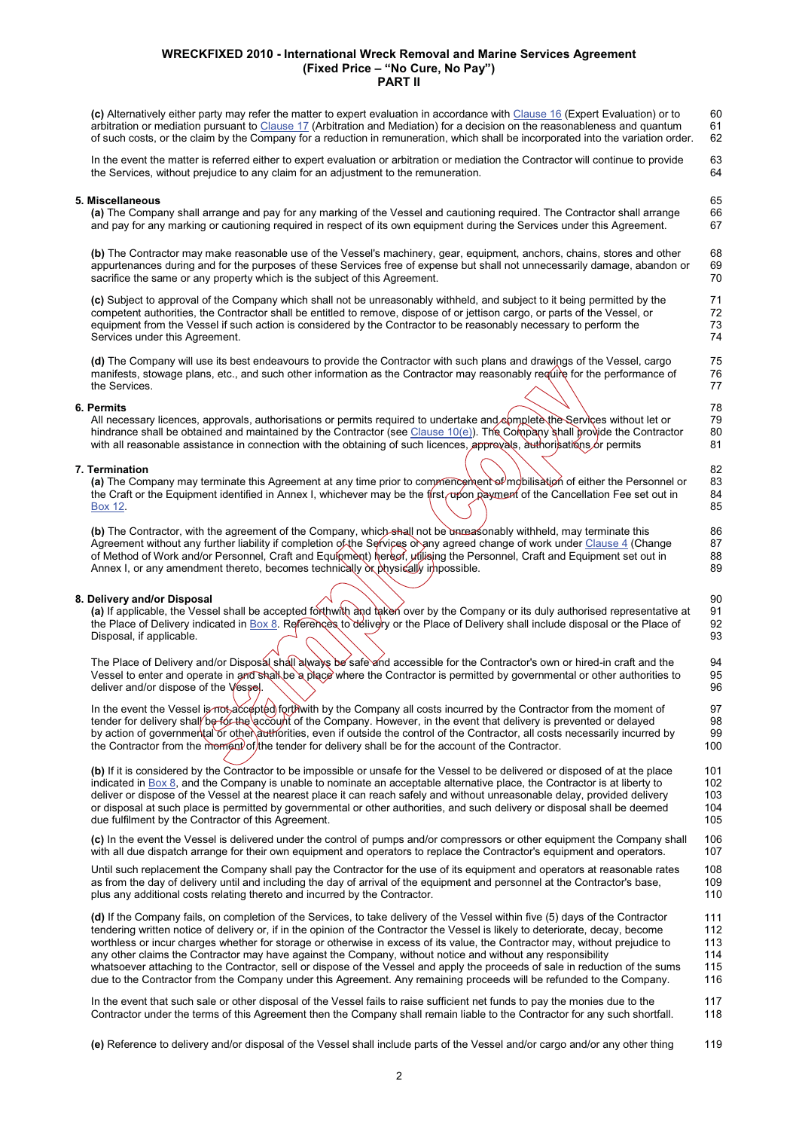| (c) Alternatively either party may refer the matter to expert evaluation in accordance with Clause 16 (Expert Evaluation) or to<br>arbitration or mediation pursuant to Clause 17 (Arbitration and Mediation) for a decision on the reasonableness and quantum<br>of such costs, or the claim by the Company for a reduction in remuneration, which shall be incorporated into the variation order.                                                                                                                                                                                                                                                                                                                                                                       | 60<br>61<br>62                         |
|---------------------------------------------------------------------------------------------------------------------------------------------------------------------------------------------------------------------------------------------------------------------------------------------------------------------------------------------------------------------------------------------------------------------------------------------------------------------------------------------------------------------------------------------------------------------------------------------------------------------------------------------------------------------------------------------------------------------------------------------------------------------------|----------------------------------------|
| In the event the matter is referred either to expert evaluation or arbitration or mediation the Contractor will continue to provide<br>the Services, without prejudice to any claim for an adjustment to the remuneration.                                                                                                                                                                                                                                                                                                                                                                                                                                                                                                                                                | 63<br>64                               |
| 5. Miscellaneous<br>(a) The Company shall arrange and pay for any marking of the Vessel and cautioning required. The Contractor shall arrange<br>and pay for any marking or cautioning required in respect of its own equipment during the Services under this Agreement.                                                                                                                                                                                                                                                                                                                                                                                                                                                                                                 | 65<br>66<br>67                         |
| (b) The Contractor may make reasonable use of the Vessel's machinery, gear, equipment, anchors, chains, stores and other<br>appurtenances during and for the purposes of these Services free of expense but shall not unnecessarily damage, abandon or<br>sacrifice the same or any property which is the subject of this Agreement.                                                                                                                                                                                                                                                                                                                                                                                                                                      | 68<br>69<br>70                         |
| (c) Subject to approval of the Company which shall not be unreasonably withheld, and subject to it being permitted by the<br>competent authorities, the Contractor shall be entitled to remove, dispose of or jettison cargo, or parts of the Vessel, or<br>equipment from the Vessel if such action is considered by the Contractor to be reasonably necessary to perform the<br>Services under this Agreement.                                                                                                                                                                                                                                                                                                                                                          | 71<br>72<br>73<br>74                   |
| (d) The Company will use its best endeavours to provide the Contractor with such plans and drawings of the Vessel, cargo<br>manifests, stowage plans, etc., and such other information as the Contractor may reasonably require for the performance of<br>the Services.                                                                                                                                                                                                                                                                                                                                                                                                                                                                                                   | 75<br>76<br>77                         |
| 6. Permits<br>All necessary licences, approvals, authorisations or permits required to undertake and complete the Services without let or<br>hindrance shall be obtained and maintained by the Contractor (see Clause $10(e)$ ). The Company shall provide the Contractor<br>with all reasonable assistance in connection with the obtaining of such licences, approvals, authorisations or permits                                                                                                                                                                                                                                                                                                                                                                       | 78<br><b>79</b><br>80<br>81            |
| 7. Termination<br>(a) The Company may terminate this Agreement at any time prior to commencement of mobilisation of either the Personnel or<br>the Craft or the Equipment identified in Annex I, whichever may be the first / upon payment of the Cancellation Fee set out in<br>Box 12.                                                                                                                                                                                                                                                                                                                                                                                                                                                                                  | 82<br>83<br>84<br>85                   |
| (b) The Contractor, with the agreement of the Company, which shall not be unreasonably withheld, may terminate this<br>Agreement without any further liability if completion of the Services or any agreed change of work under Clause 4 (Change<br>of Method of Work and/or Personnel, Craft and Equipment) hereof, utilising the Personnel, Craft and Equipment set out in<br>Annex I, or any amendment thereto, becomes technically $\alpha$ physically impossible.                                                                                                                                                                                                                                                                                                    | 86<br>87<br>88<br>89                   |
| 8. Delivery and/or Disposal<br>(a) If applicable, the Vessel shall be accepted forthwith and taken over by the Company or its duly authorised representative at<br>the Place of Delivery indicated in Box 8. References to delivery or the Place of Delivery shall include disposal or the Place of<br>Disposal, if applicable.                                                                                                                                                                                                                                                                                                                                                                                                                                           | 90<br>91<br>92<br>93                   |
| The Place of Delivery and/or Disposal shall always be safe and accessible for the Contractor's own or hired-in craft and the<br>Vessel to enter and operate in and shall be a place where the Contractor is permitted by governmental or other authorities to<br>deliver and/or dispose of the Vessel.                                                                                                                                                                                                                                                                                                                                                                                                                                                                    | 94<br>95<br>96                         |
| In the event the Vessel is not accepted for thivith by the Company all costs incurred by the Contractor from the moment of<br>tender for delivery shall/be for the account of the Company. However, in the event that delivery is prevented or delayed<br>by action of governmental or other authorities, even if outside the control of the Contractor, all costs necessarily incurred by<br>the Contractor from the moment of the tender for delivery shall be for the account of the Contractor.                                                                                                                                                                                                                                                                       | 97<br>98<br>99<br>10 <sub>C</sub>      |
| (b) If it is considered by the Contractor to be impossible or unsafe for the Vessel to be delivered or disposed of at the place<br>indicated in Box 8, and the Company is unable to nominate an acceptable alternative place, the Contractor is at liberty to<br>deliver or dispose of the Vessel at the nearest place it can reach safely and without unreasonable delay, provided delivery<br>or disposal at such place is permitted by governmental or other authorities, and such delivery or disposal shall be deemed<br>due fulfilment by the Contractor of this Agreement.                                                                                                                                                                                         | 101<br>102<br>103<br>104<br>105        |
| (c) In the event the Vessel is delivered under the control of pumps and/or compressors or other equipment the Company shall<br>with all due dispatch arrange for their own equipment and operators to replace the Contractor's equipment and operators.                                                                                                                                                                                                                                                                                                                                                                                                                                                                                                                   | 106<br>107                             |
| Until such replacement the Company shall pay the Contractor for the use of its equipment and operators at reasonable rates<br>as from the day of delivery until and including the day of arrival of the equipment and personnel at the Contractor's base,<br>plus any additional costs relating thereto and incurred by the Contractor.                                                                                                                                                                                                                                                                                                                                                                                                                                   | 108<br>109<br>11C                      |
| (d) If the Company fails, on completion of the Services, to take delivery of the Vessel within five (5) days of the Contractor<br>tendering written notice of delivery or, if in the opinion of the Contractor the Vessel is likely to deteriorate, decay, become<br>worthless or incur charges whether for storage or otherwise in excess of its value, the Contractor may, without prejudice to<br>any other claims the Contractor may have against the Company, without notice and without any responsibility<br>whatsoever attaching to the Contractor, sell or dispose of the Vessel and apply the proceeds of sale in reduction of the sums<br>due to the Contractor from the Company under this Agreement. Any remaining proceeds will be refunded to the Company. | 111<br>112<br>113<br>114<br>115<br>116 |
| In the event that such sale or other disposal of the Vessel fails to raise sufficient net funds to pay the monies due to the<br>Contractor under the terms of this Agreement then the Company shall remain liable to the Contractor for any such shortfall.                                                                                                                                                                                                                                                                                                                                                                                                                                                                                                               | 117<br>118                             |
|                                                                                                                                                                                                                                                                                                                                                                                                                                                                                                                                                                                                                                                                                                                                                                           |                                        |

**(e)** Reference to delivery and/or disposal of the Vessel shall include parts of the Vessel and/or cargo and/or any other thing 119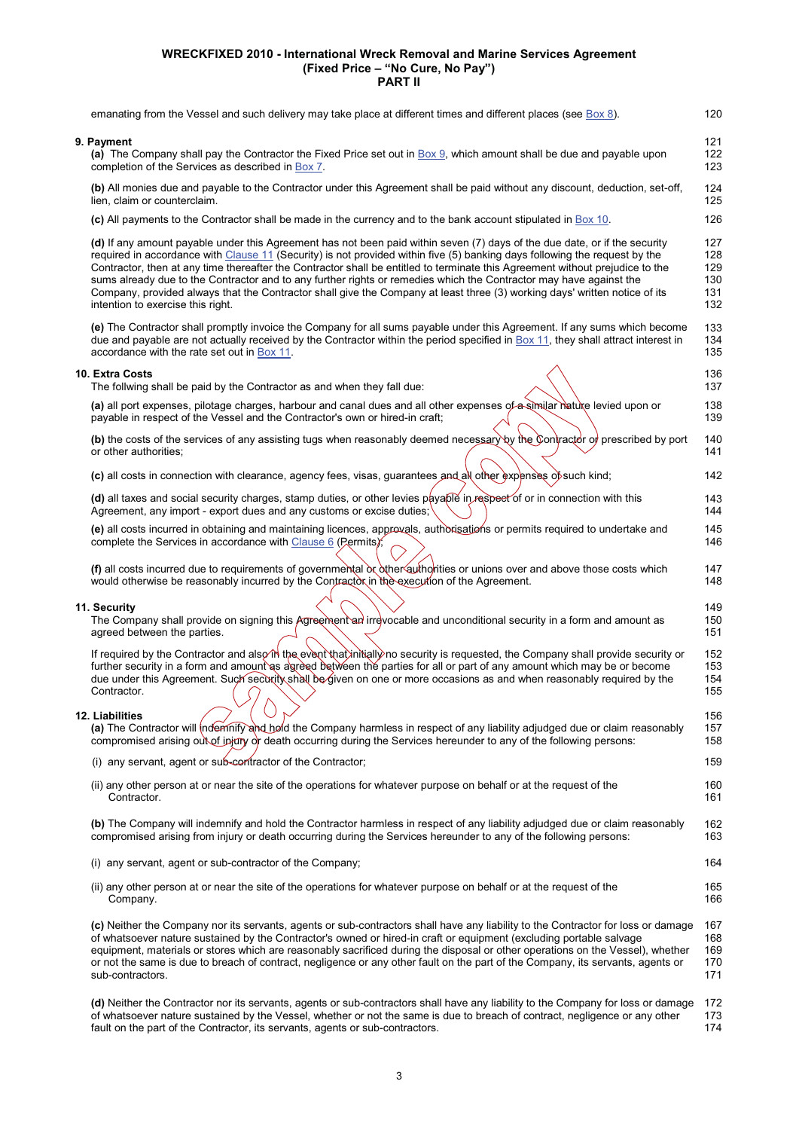| emanating from the Vessel and such delivery may take place at different times and different places (see Box 8).                                                                                                                                                                                                                                                                                                                                                                                                                                                                                                                                                                    | 120                                    |
|------------------------------------------------------------------------------------------------------------------------------------------------------------------------------------------------------------------------------------------------------------------------------------------------------------------------------------------------------------------------------------------------------------------------------------------------------------------------------------------------------------------------------------------------------------------------------------------------------------------------------------------------------------------------------------|----------------------------------------|
| 9. Payment<br>(a) The Company shall pay the Contractor the Fixed Price set out in Box 9, which amount shall be due and payable upon<br>completion of the Services as described in Box 7.                                                                                                                                                                                                                                                                                                                                                                                                                                                                                           | 121<br>122<br>123                      |
| (b) All monies due and payable to the Contractor under this Agreement shall be paid without any discount, deduction, set-off,<br>lien, claim or counterclaim.                                                                                                                                                                                                                                                                                                                                                                                                                                                                                                                      | 124<br>125                             |
| (c) All payments to the Contractor shall be made in the currency and to the bank account stipulated in Box 10.                                                                                                                                                                                                                                                                                                                                                                                                                                                                                                                                                                     | 126                                    |
| (d) If any amount payable under this Agreement has not been paid within seven (7) days of the due date, or if the security<br>required in accordance with Clause 11 (Security) is not provided within five (5) banking days following the request by the<br>Contractor, then at any time thereafter the Contractor shall be entitled to terminate this Agreement without prejudice to the<br>sums already due to the Contractor and to any further rights or remedies which the Contractor may have against the<br>Company, provided always that the Contractor shall give the Company at least three (3) working days' written notice of its<br>intention to exercise this right. | 127<br>128<br>129<br>130<br>131<br>132 |
| (e) The Contractor shall promptly invoice the Company for all sums payable under this Agreement. If any sums which become<br>due and payable are not actually received by the Contractor within the period specified in Box 11, they shall attract interest in<br>accordance with the rate set out in Box 11.                                                                                                                                                                                                                                                                                                                                                                      | 133<br>134<br>135                      |
| 10. Extra Costs<br>The follwing shall be paid by the Contractor as and when they fall due:                                                                                                                                                                                                                                                                                                                                                                                                                                                                                                                                                                                         | 136<br>137                             |
| (a) all port expenses, pilotage charges, harbour and canal dues and all other expenses of a similar mature levied upon or<br>payable in respect of the Vessel and the Contractor's own or hired-in craft;                                                                                                                                                                                                                                                                                                                                                                                                                                                                          | 138<br>139                             |
| (b) the costs of the services of any assisting tugs when reasonably deemed necessary by the Contractor of prescribed by port<br>or other authorities;                                                                                                                                                                                                                                                                                                                                                                                                                                                                                                                              | 140<br>141                             |
| (c) all costs in connection with clearance, agency fees, visas, guarantees and all other expenses of such kind;                                                                                                                                                                                                                                                                                                                                                                                                                                                                                                                                                                    | 142                                    |
| (d) all taxes and social security charges, stamp duties, or other levies payable in respect of or in connection with this<br>Agreement, any import - export dues and any customs or excise duties;                                                                                                                                                                                                                                                                                                                                                                                                                                                                                 | 143<br>144                             |
| (e) all costs incurred in obtaining and maintaining licences, approvals, authorisations or permits required to undertake and<br>complete the Services in accordance with Clause 6 (Permits)                                                                                                                                                                                                                                                                                                                                                                                                                                                                                        | 145<br>146                             |
| (f) all costs incurred due to requirements of governmental or other authorities or unions over and above those costs which<br>would otherwise be reasonably incurred by the Contractor in the execution of the Agreement.                                                                                                                                                                                                                                                                                                                                                                                                                                                          | 147<br>148                             |
| 11. Security<br>The Company shall provide on signing this Agreement and irrevocable and unconditional security in a form and amount as<br>agreed between the parties.                                                                                                                                                                                                                                                                                                                                                                                                                                                                                                              | 149<br>150<br>151                      |
| If required by the Contractor and also in the event that initially no security is requested, the Company shall provide security or<br>further security in a form and amount as agreed between the parties for all or part of any amount which may be or become<br>due under this Agreement. Such security shall be given on one or more occasions as and when reasonably required by the<br>Contractor.                                                                                                                                                                                                                                                                            | 152<br>153<br>154<br>155               |
| 12. Liabilities                                                                                                                                                                                                                                                                                                                                                                                                                                                                                                                                                                                                                                                                    | 156                                    |
| (a) The Contractor will indemnify and hold the Company harmless in respect of any liability adjudged due or claim reasonably<br>compromised arising out of inidity or death occurring during the Services hereunder to any of the following persons:                                                                                                                                                                                                                                                                                                                                                                                                                               | 157<br>158                             |
| (i) any servant, agent or sub-contractor of the Contractor;                                                                                                                                                                                                                                                                                                                                                                                                                                                                                                                                                                                                                        | 159                                    |
| (ii) any other person at or near the site of the operations for whatever purpose on behalf or at the request of the<br>Contractor.                                                                                                                                                                                                                                                                                                                                                                                                                                                                                                                                                 | 160<br>161                             |
| (b) The Company will indemnify and hold the Contractor harmless in respect of any liability adjudged due or claim reasonably<br>compromised arising from injury or death occurring during the Services hereunder to any of the following persons:                                                                                                                                                                                                                                                                                                                                                                                                                                  | 162<br>163                             |
| (i) any servant, agent or sub-contractor of the Company;                                                                                                                                                                                                                                                                                                                                                                                                                                                                                                                                                                                                                           | 164                                    |
| (ii) any other person at or near the site of the operations for whatever purpose on behalf or at the request of the<br>Company.                                                                                                                                                                                                                                                                                                                                                                                                                                                                                                                                                    | 165<br>166                             |
| (c) Neither the Company nor its servants, agents or sub-contractors shall have any liability to the Contractor for loss or damage<br>of whatsoever nature sustained by the Contractor's owned or hired-in craft or equipment (excluding portable salvage<br>equipment, materials or stores which are reasonably sacrificed during the disposal or other operations on the Vessel), whether<br>or not the same is due to breach of contract, negligence or any other fault on the part of the Company, its servants, agents or<br>sub-contractors.                                                                                                                                  | 167<br>168<br>169<br>170<br>171        |
| (d) Neither the Contractor nor its servants, agents or sub-contractors shall have any liability to the Company for loss or damage<br>of whatsoever nature sustained by the Vessel, whether or not the same is due to breach of contract, negligence or any other<br>fault on the part of the Contractor, its servants, agents or sub-contractors.                                                                                                                                                                                                                                                                                                                                  | 172<br>173<br>174                      |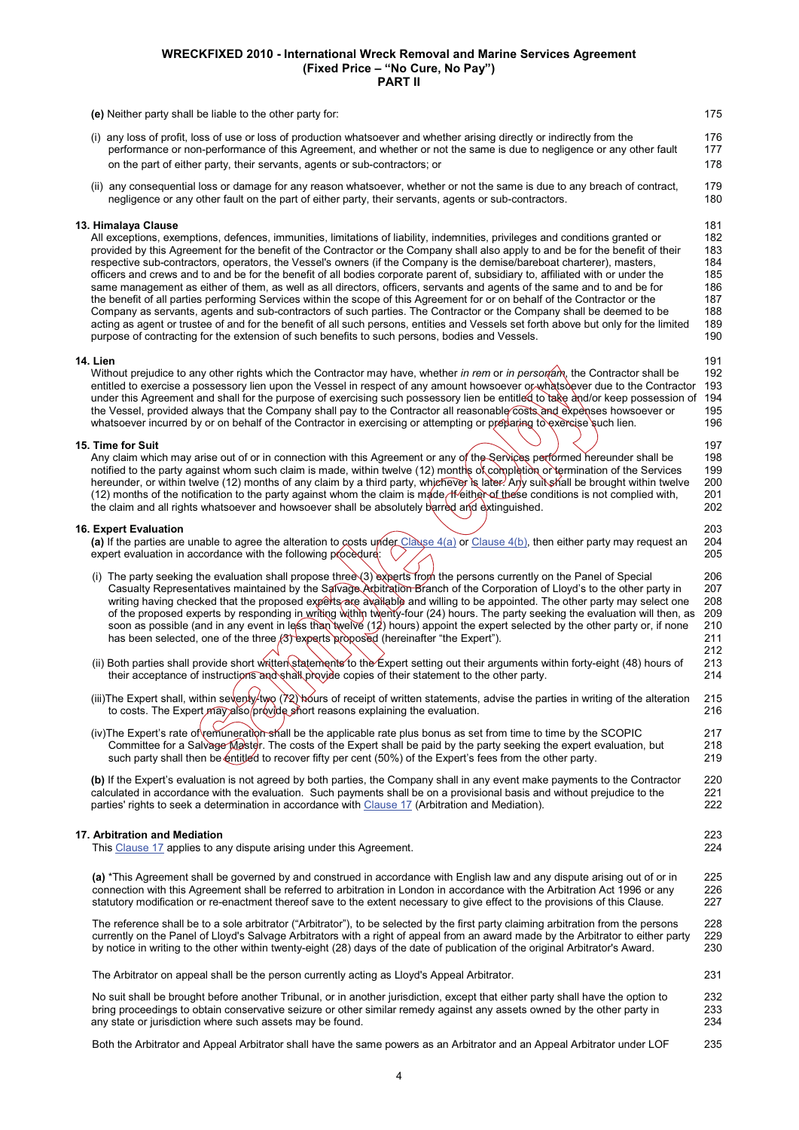| (e) Neither party shall be liable to the other party for:                                                                                                                                                                                                                                                                                                                                                                                                                                                                                                                                                                                                                                                                                                                                                                                                                                                                                                                                                                                                                                                                                                                         | 175                                                                |
|-----------------------------------------------------------------------------------------------------------------------------------------------------------------------------------------------------------------------------------------------------------------------------------------------------------------------------------------------------------------------------------------------------------------------------------------------------------------------------------------------------------------------------------------------------------------------------------------------------------------------------------------------------------------------------------------------------------------------------------------------------------------------------------------------------------------------------------------------------------------------------------------------------------------------------------------------------------------------------------------------------------------------------------------------------------------------------------------------------------------------------------------------------------------------------------|--------------------------------------------------------------------|
| (i) any loss of profit, loss of use or loss of production whatsoever and whether arising directly or indirectly from the<br>performance or non-performance of this Agreement, and whether or not the same is due to negligence or any other fault<br>on the part of either party, their servants, agents or sub-contractors; or                                                                                                                                                                                                                                                                                                                                                                                                                                                                                                                                                                                                                                                                                                                                                                                                                                                   | 176<br>177<br>178                                                  |
| (ii) any consequential loss or damage for any reason whatsoever, whether or not the same is due to any breach of contract,<br>negligence or any other fault on the part of either party, their servants, agents or sub-contractors.                                                                                                                                                                                                                                                                                                                                                                                                                                                                                                                                                                                                                                                                                                                                                                                                                                                                                                                                               | 179<br>180                                                         |
| 13. Himalaya Clause<br>All exceptions, exemptions, defences, immunities, limitations of liability, indemnities, privileges and conditions granted or<br>provided by this Agreement for the benefit of the Contractor or the Company shall also apply to and be for the benefit of their<br>respective sub-contractors, operators, the Vessel's owners (if the Company is the demise/bareboat charterer), masters,<br>officers and crews and to and be for the benefit of all bodies corporate parent of, subsidiary to, affiliated with or under the<br>same management as either of them, as well as all directors, officers, servants and agents of the same and to and be for<br>the benefit of all parties performing Services within the scope of this Agreement for or on behalf of the Contractor or the<br>Company as servants, agents and sub-contractors of such parties. The Contractor or the Company shall be deemed to be<br>acting as agent or trustee of and for the benefit of all such persons, entities and Vessels set forth above but only for the limited<br>purpose of contracting for the extension of such benefits to such persons, bodies and Vessels. | 181<br>182<br>183<br>184<br>185<br>186<br>187<br>188<br>189<br>190 |
| 14. Lien<br>Without prejudice to any other rights which the Contractor may have, whether in rem or in persoram, the Contractor shall be<br>entitled to exercise a possessory lien upon the Vessel in respect of any amount howsoever or-whatsoever due to the Contractor<br>under this Agreement and shall for the purpose of exercising such possessory lien be entitled to take and/or keep possession of<br>the Vessel, provided always that the Company shall pay to the Contractor all reasonable costs and expenses howsoever or<br>whatsoever incurred by or on behalf of the Contractor in exercising or attempting or preparing to exercise such lien.                                                                                                                                                                                                                                                                                                                                                                                                                                                                                                                   | 191<br>192<br>193<br>194<br>195<br>196                             |
| 15. Time for Suit<br>Any claim which may arise out of or in connection with this Agreement or any of the Services performed hereunder shall be<br>notified to the party against whom such claim is made, within twelve (12) months of completion or termination of the Services<br>hereunder, or within twelve (12) months of any claim by a third party, whichever is later. Any suit shall be brought within twelve<br>(12) months of the notification to the party against whom the claim is made /tf either of these conditions is not complied with,<br>the claim and all rights whatsoever and howsoever shall be absolutely barred and extinguished.                                                                                                                                                                                                                                                                                                                                                                                                                                                                                                                       | 197<br>198<br>199<br>200<br>201<br>202                             |
| <b>16. Expert Evaluation</b><br>(a) If the parties are unable to agree the alteration to costs under Clause $4(a)$ or Clause $4(b)$ , then either party may request an<br>expert evaluation in accordance with the following procedure:                                                                                                                                                                                                                                                                                                                                                                                                                                                                                                                                                                                                                                                                                                                                                                                                                                                                                                                                           | 203<br>204<br>205                                                  |
| (i) The party seeking the evaluation shall propose three (3) experts from the persons currently on the Panel of Special<br>Casualty Representatives maintained by the Salvage Arbitration Branch of the Corporation of Lloyd's to the other party in<br>writing having checked that the proposed experts are available and willing to be appointed. The other party may select one<br>of the proposed experts by responding in writing within twenty-four (24) hours. The party seeking the evaluation will then, as<br>soon as possible (and in any event in less than twelve $(1/2)$ hours) appoint the expert selected by the other party or, if none<br>has been selected, one of the three (3) experts proposed (hereinafter "the Expert").                                                                                                                                                                                                                                                                                                                                                                                                                                  | 206<br>207<br>208<br>209<br>210<br>211<br>212                      |
| (ii) Both parties shall provide short written statements to the Expert setting out their arguments within forty-eight (48) hours of<br>their acceptance of instructions and shall provide copies of their statement to the other party.                                                                                                                                                                                                                                                                                                                                                                                                                                                                                                                                                                                                                                                                                                                                                                                                                                                                                                                                           | 213<br>214                                                         |
| (iii)The Expert shall, within seventy/two (72) hours of receipt of written statements, advise the parties in writing of the alteration<br>to costs. The Expert may also provide short reasons explaining the evaluation.                                                                                                                                                                                                                                                                                                                                                                                                                                                                                                                                                                                                                                                                                                                                                                                                                                                                                                                                                          | 215<br>216                                                         |
| (iv)The Expert's rate of remuneration shall be the applicable rate plus bonus as set from time to time by the SCOPIC<br>Committee for a Salvage Master. The costs of the Expert shall be paid by the party seeking the expert evaluation, but<br>such party shall then be entitled to recover fifty per cent (50%) of the Expert's fees from the other party.                                                                                                                                                                                                                                                                                                                                                                                                                                                                                                                                                                                                                                                                                                                                                                                                                     | 217<br>218<br>219                                                  |
| (b) If the Expert's evaluation is not agreed by both parties, the Company shall in any event make payments to the Contractor<br>calculated in accordance with the evaluation. Such payments shall be on a provisional basis and without prejudice to the<br>parties' rights to seek a determination in accordance with Clause 17 (Arbitration and Mediation).                                                                                                                                                                                                                                                                                                                                                                                                                                                                                                                                                                                                                                                                                                                                                                                                                     | 220<br>221<br>222                                                  |
| 17. Arbitration and Mediation<br>This Clause 17 applies to any dispute arising under this Agreement.                                                                                                                                                                                                                                                                                                                                                                                                                                                                                                                                                                                                                                                                                                                                                                                                                                                                                                                                                                                                                                                                              | 223<br>224                                                         |
| (a) *This Agreement shall be governed by and construed in accordance with English law and any dispute arising out of or in<br>connection with this Agreement shall be referred to arbitration in London in accordance with the Arbitration Act 1996 or any<br>statutory modification or re-enactment thereof save to the extent necessary to give effect to the provisions of this Clause.                                                                                                                                                                                                                                                                                                                                                                                                                                                                                                                                                                                                                                                                                                                                                                                        | 225<br>226<br>227                                                  |
| The reference shall be to a sole arbitrator ("Arbitrator"), to be selected by the first party claiming arbitration from the persons<br>currently on the Panel of Lloyd's Salvage Arbitrators with a right of appeal from an award made by the Arbitrator to either party<br>by notice in writing to the other within twenty-eight (28) days of the date of publication of the original Arbitrator's Award.                                                                                                                                                                                                                                                                                                                                                                                                                                                                                                                                                                                                                                                                                                                                                                        | 228<br><b>229</b><br>230                                           |
| The Arbitrator on appeal shall be the person currently acting as Lloyd's Appeal Arbitrator.                                                                                                                                                                                                                                                                                                                                                                                                                                                                                                                                                                                                                                                                                                                                                                                                                                                                                                                                                                                                                                                                                       | 231                                                                |
| No suit shall be brought before another Tribunal, or in another jurisdiction, except that either party shall have the option to<br>bring proceedings to obtain conservative seizure or other similar remedy against any assets owned by the other party in<br>any state or jurisdiction where such assets may be found.                                                                                                                                                                                                                                                                                                                                                                                                                                                                                                                                                                                                                                                                                                                                                                                                                                                           | 232<br>233<br>234                                                  |

Both the Arbitrator and Appeal Arbitrator shall have the same powers as an Arbitrator and an Appeal Arbitrator under LOF 235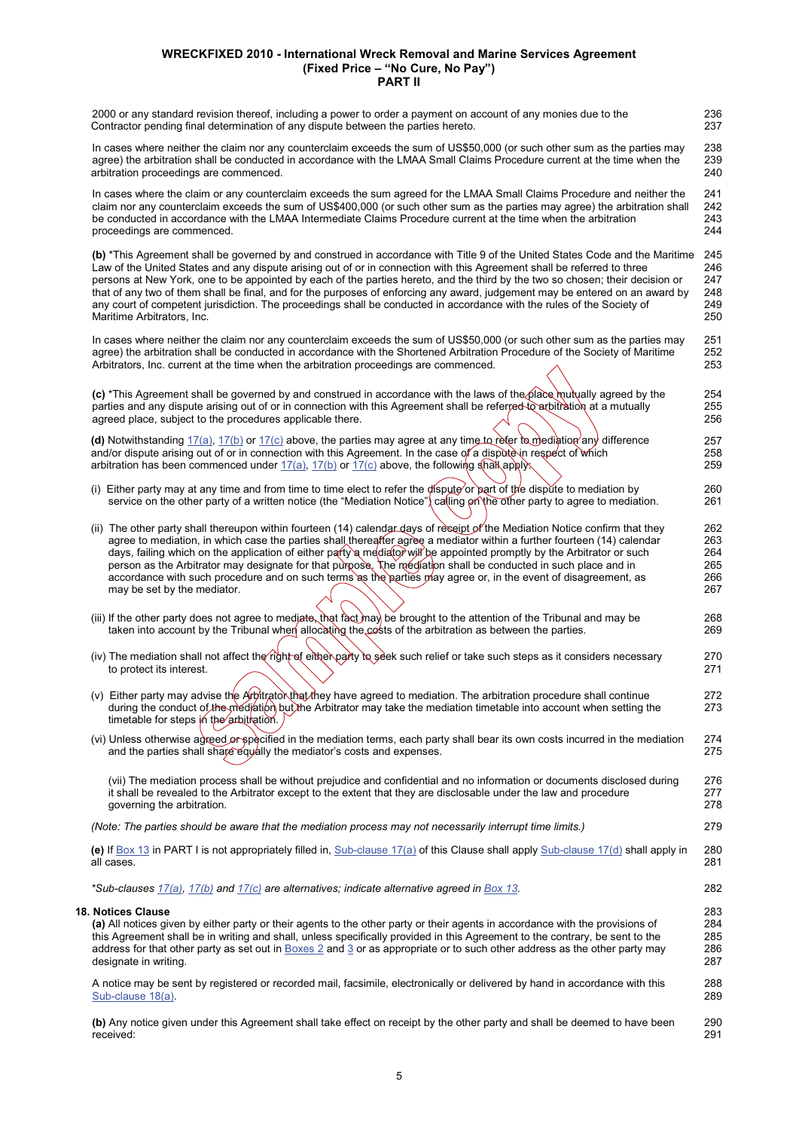| 2000 or any standard revision thereof, including a power to order a payment on account of any monies due to the<br>Contractor pending final determination of any dispute between the parties hereto.                                                                                                                                                                                                                                                                                                                                                                                                                                                                             | 236<br>237                             |
|----------------------------------------------------------------------------------------------------------------------------------------------------------------------------------------------------------------------------------------------------------------------------------------------------------------------------------------------------------------------------------------------------------------------------------------------------------------------------------------------------------------------------------------------------------------------------------------------------------------------------------------------------------------------------------|----------------------------------------|
| In cases where neither the claim nor any counterclaim exceeds the sum of US\$50,000 (or such other sum as the parties may<br>agree) the arbitration shall be conducted in accordance with the LMAA Small Claims Procedure current at the time when the<br>arbitration proceedings are commenced.                                                                                                                                                                                                                                                                                                                                                                                 | 238<br>239<br>240                      |
| In cases where the claim or any counterclaim exceeds the sum agreed for the LMAA Small Claims Procedure and neither the<br>claim nor any counterclaim exceeds the sum of US\$400,000 (or such other sum as the parties may agree) the arbitration shall<br>be conducted in accordance with the LMAA Intermediate Claims Procedure current at the time when the arbitration<br>proceedings are commenced.                                                                                                                                                                                                                                                                         | 241<br>242<br>243<br>244               |
| (b) *This Agreement shall be governed by and construed in accordance with Title 9 of the United States Code and the Maritime<br>Law of the United States and any dispute arising out of or in connection with this Agreement shall be referred to three<br>persons at New York, one to be appointed by each of the parties hereto, and the third by the two so chosen; their decision or<br>that of any two of them shall be final, and for the purposes of enforcing any award, judgement may be entered on an award by<br>any court of competent jurisdiction. The proceedings shall be conducted in accordance with the rules of the Society of<br>Maritime Arbitrators, Inc. | 245<br>246<br>247<br>248<br>249<br>250 |
| In cases where neither the claim nor any counterclaim exceeds the sum of US\$50,000 (or such other sum as the parties may<br>agree) the arbitration shall be conducted in accordance with the Shortened Arbitration Procedure of the Society of Maritime<br>Arbitrators, Inc. current at the time when the arbitration proceedings are commenced.                                                                                                                                                                                                                                                                                                                                | 251<br>252<br>253                      |
| (c) *This Agreement shall be governed by and construed in accordance with the laws of the place mulually agreed by the<br>parties and any dispute arising out of or in connection with this Agreement shall be referred to arbitration at a mutually<br>agreed place, subject to the procedures applicable there.                                                                                                                                                                                                                                                                                                                                                                | 254<br>255<br>256                      |
| (d) Notwithstanding $17(a)$ , $17(b)$ or $17(c)$ above, the parties may agree at any time to refer to mediation any difference<br>and/or dispute arising out of or in connection with this Agreement. In the case of a dispute in respect of which<br>arbitration has been commenced under $17(a)$ , $17(b)$ or $17(c)$ above, the following shall apply.                                                                                                                                                                                                                                                                                                                        | 257<br>258<br>259                      |
| (i) Either party may at any time and from time to time elect to refer the dispute or part of the dispute to mediation by<br>service on the other party of a written notice (the "Mediation Notice") calling on the other party to agree to mediation.                                                                                                                                                                                                                                                                                                                                                                                                                            | 260<br>261                             |
| (ii) The other party shall thereupon within fourteen (14) calendar days of reseipt of the Mediation Notice confirm that they<br>agree to mediation, in which case the parties shall thereafter agree a mediator within a further fourteen (14) calendar<br>days, failing which on the application of either party a mediator will be appointed promptly by the Arbitrator or such<br>person as the Arbitrator may designate for that purpose. The mediation shall be conducted in such place and in<br>accordance with such procedure and on such terms as the parties may agree or, in the event of disagreement, as<br>may be set by the mediator.                             | 262<br>263<br>264<br>265<br>266<br>267 |
| (iii) If the other party does not agree to mediate, that fact may be brought to the attention of the Tribunal and may be<br>taken into account by the Tribunal when allocating the costs of the arbitration as between the parties.                                                                                                                                                                                                                                                                                                                                                                                                                                              | 268<br>269                             |
| (iv) The mediation shall not affect the right of either party to seek such relief or take such steps as it considers necessary<br>to protect its interest.                                                                                                                                                                                                                                                                                                                                                                                                                                                                                                                       | 270<br>271                             |
| (v) Either party may advise the Arbitrator that they have agreed to mediation. The arbitration procedure shall continue<br>during the conduct of the mediation but the Arbitrator may take the mediation timetable into account when setting the<br>timetable for steps in the arbitration.                                                                                                                                                                                                                                                                                                                                                                                      | 272<br>273                             |
| (vi) Unless otherwise agreed or specified in the mediation terms, each party shall bear its own costs incurred in the mediation<br>and the parties shall share equally the mediator's costs and expenses.                                                                                                                                                                                                                                                                                                                                                                                                                                                                        | 274<br>275                             |
| (vii) The mediation process shall be without prejudice and confidential and no information or documents disclosed during<br>it shall be revealed to the Arbitrator except to the extent that they are disclosable under the law and procedure<br>governing the arbitration.                                                                                                                                                                                                                                                                                                                                                                                                      | 276<br>277<br>278                      |
| (Note: The parties should be aware that the mediation process may not necessarily interrupt time limits.)                                                                                                                                                                                                                                                                                                                                                                                                                                                                                                                                                                        | 279                                    |
| (e) If Box 13 in PART I is not appropriately filled in, Sub-clause 17(a) of this Clause shall apply Sub-clause 17(d) shall apply in<br>all cases.                                                                                                                                                                                                                                                                                                                                                                                                                                                                                                                                | 280<br>281                             |
| *Sub-clauses $17(a)$ , $17(b)$ and $17(c)$ are alternatives; indicate alternative agreed in Box 13.                                                                                                                                                                                                                                                                                                                                                                                                                                                                                                                                                                              | 282                                    |
| <b>18. Notices Clause</b><br>(a) All notices given by either party or their agents to the other party or their agents in accordance with the provisions of<br>this Agreement shall be in writing and shall, unless specifically provided in this Agreement to the contrary, be sent to the<br>address for that other party as set out in Boxes 2 and 3 or as appropriate or to such other address as the other party may<br>designate in writing.                                                                                                                                                                                                                                | 283<br>284<br>285<br>286<br>287        |
| A notice may be sent by registered or recorded mail, facsimile, electronically or delivered by hand in accordance with this<br>Sub-clause 18(a).                                                                                                                                                                                                                                                                                                                                                                                                                                                                                                                                 | 288<br>289                             |
| (b) Any notice given under this Agreement shall take effect on receipt by the other party and shall be deemed to have been                                                                                                                                                                                                                                                                                                                                                                                                                                                                                                                                                       | 290                                    |

received: 291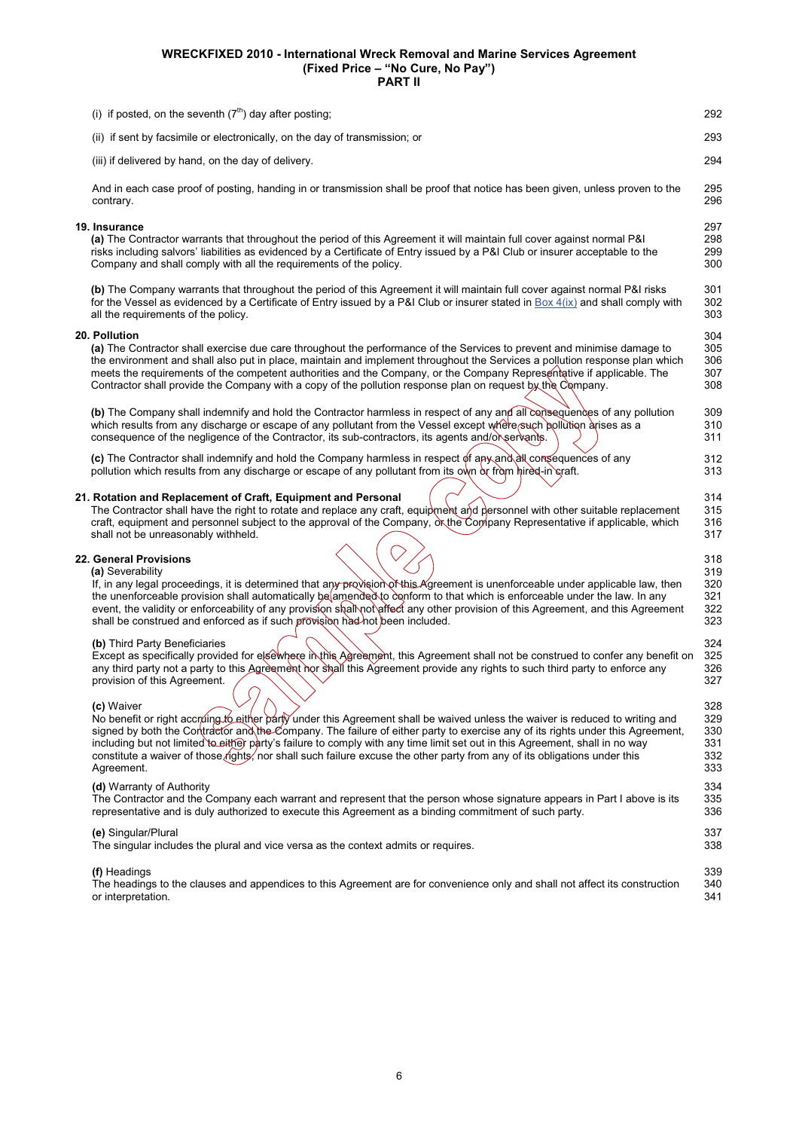| (i) if posted, on the seventh $(7th)$ day after posting;                                                                                                                                                                                                                                                                                                                                                                                                                                                                                                 | 292                                    |
|----------------------------------------------------------------------------------------------------------------------------------------------------------------------------------------------------------------------------------------------------------------------------------------------------------------------------------------------------------------------------------------------------------------------------------------------------------------------------------------------------------------------------------------------------------|----------------------------------------|
| (ii) if sent by facsimile or electronically, on the day of transmission; or                                                                                                                                                                                                                                                                                                                                                                                                                                                                              | 293                                    |
| (iii) if delivered by hand, on the day of delivery.                                                                                                                                                                                                                                                                                                                                                                                                                                                                                                      | 294                                    |
| And in each case proof of posting, handing in or transmission shall be proof that notice has been given, unless proven to the<br>contrary.                                                                                                                                                                                                                                                                                                                                                                                                               | 295<br>296                             |
| 19. Insurance<br>(a) The Contractor warrants that throughout the period of this Agreement it will maintain full cover against normal P&I<br>risks including salvors' liabilities as evidenced by a Certificate of Entry issued by a P&I Club or insurer acceptable to the<br>Company and shall comply with all the requirements of the policy.                                                                                                                                                                                                           | 297<br>298<br>299<br>300               |
| (b) The Company warrants that throughout the period of this Agreement it will maintain full cover against normal P&I risks<br>for the Vessel as evidenced by a Certificate of Entry issued by a P&I Club or insurer stated in Box $4(ix)$ and shall comply with<br>all the requirements of the policy.                                                                                                                                                                                                                                                   | 301<br>302<br>303                      |
| 20. Pollution<br>(a) The Contractor shall exercise due care throughout the performance of the Services to prevent and minimise damage to<br>the environment and shall also put in place, maintain and implement throughout the Services a pollution response plan which<br>meets the requirements of the competent authorities and the Company, or the Company Representative if applicable. The<br>Contractor shall provide the Company with a copy of the pollution response plan on request by the Company.                                           | 304<br>305<br>306<br>307<br>308        |
| (b) The Company shall indemnify and hold the Contractor harmless in respect of any and all consequences of any pollution<br>which results from any discharge or escape of any pollutant from the Vessel except where such pollution arises as a<br>consequence of the negligence of the Contractor, its sub-contractors, its agents and/orservants.                                                                                                                                                                                                      | 309<br>310<br>311                      |
| (c) The Contractor shall indemnify and hold the Company harmless in respect of any and all consequences of any<br>pollution which results from any discharge or escape of any pollutant from its own or from hired-in craft.                                                                                                                                                                                                                                                                                                                             | 312<br>313                             |
| 21. Rotation and Replacement of Craft, Equipment and Personal<br>The Contractor shall have the right to rotate and replace any craft, equipment and personnel with other suitable replacement<br>craft, equipment and personnel subject to the approval of the Company, $\delta x$ the Company Representative if applicable, which<br>shall not be unreasonably withheld.                                                                                                                                                                                | 314<br>315<br>316<br>317               |
| 22. General Provisions<br>(a) Severability<br>If, in any legal proceedings, it is determined that any provision of this Agreement is unenforceable under applicable law, then<br>the unenforceable provision shall automatically be amended to conform to that which is enforceable under the law. In any<br>event, the validity or enforceability of any provision shall not affect any other provision of this Agreement, and this Agreement<br>shall be construed and enforced as if such provision had hot been included.                            | 318<br>319<br>320<br>321<br>322<br>323 |
| (b) Third Party Beneficiaries<br>Except as specifically provided for elsewhere in this Agreement, this Agreement shall not be construed to confer any benefit on<br>any third party not a party to this Agreement nor snall this Agreement provide any rights to such third party to enforce any<br>provision of this Agreement.                                                                                                                                                                                                                         | 324<br>325<br>326<br>327               |
| (c) Waiver<br>No benefit or right accruing to either party under this Agreement shall be waived unless the waiver is reduced to writing and<br>signed by both the Contractor and the Company. The failure of either party to exercise any of its rights under this Agreement,<br>including but not limited to either party's failure to comply with any time limit set out in this Agreement, shall in no way<br>constitute a waiver of those rights, nor shall such failure excuse the other party from any of its obligations under this<br>Agreement. | 328<br>329<br>330<br>331<br>332<br>333 |
| (d) Warranty of Authority<br>The Contractor and the Company each warrant and represent that the person whose signature appears in Part I above is its<br>representative and is duly authorized to execute this Agreement as a binding commitment of such party.                                                                                                                                                                                                                                                                                          | 334<br>335<br>336                      |
| (e) Singular/Plural<br>The singular includes the plural and vice versa as the context admits or requires.                                                                                                                                                                                                                                                                                                                                                                                                                                                | 337<br>338                             |
| (f) Headings<br>The headings to the clauses and appendices to this Agreement are for convenience only and shall not affect its construction<br>or interpretation.                                                                                                                                                                                                                                                                                                                                                                                        | 339<br>340<br>341                      |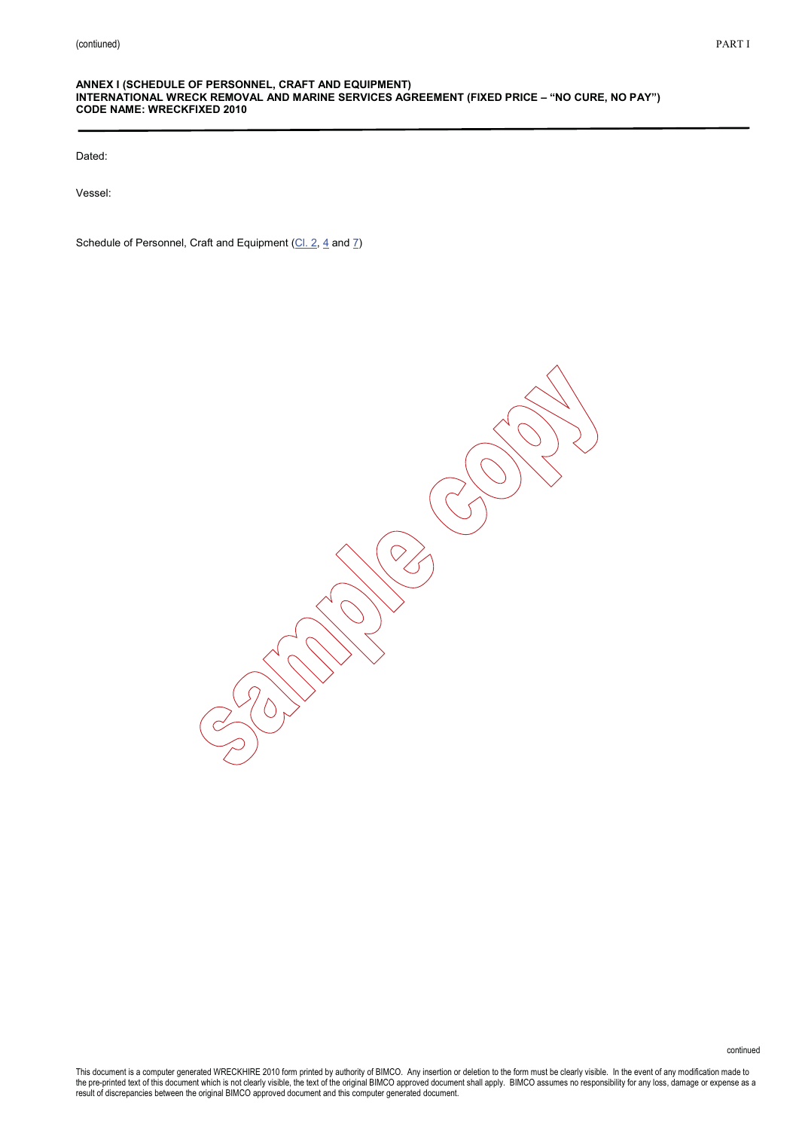#### **ANNEX I (SCHEDULE OF PERSONNEL, CRAFT AND EQUIPMENT) INTERNATIONAL WRECK REMOVAL AND MARINE SERVICES AGREEMENT (FIXED PRICE – "NO CURE, NO PAY") CODE NAME: WRECKFIXED 2010**

Dated:

Vessel:

Schedule of Personnel, Craft and Equipment (Cl. 2, 4 and 7)

continued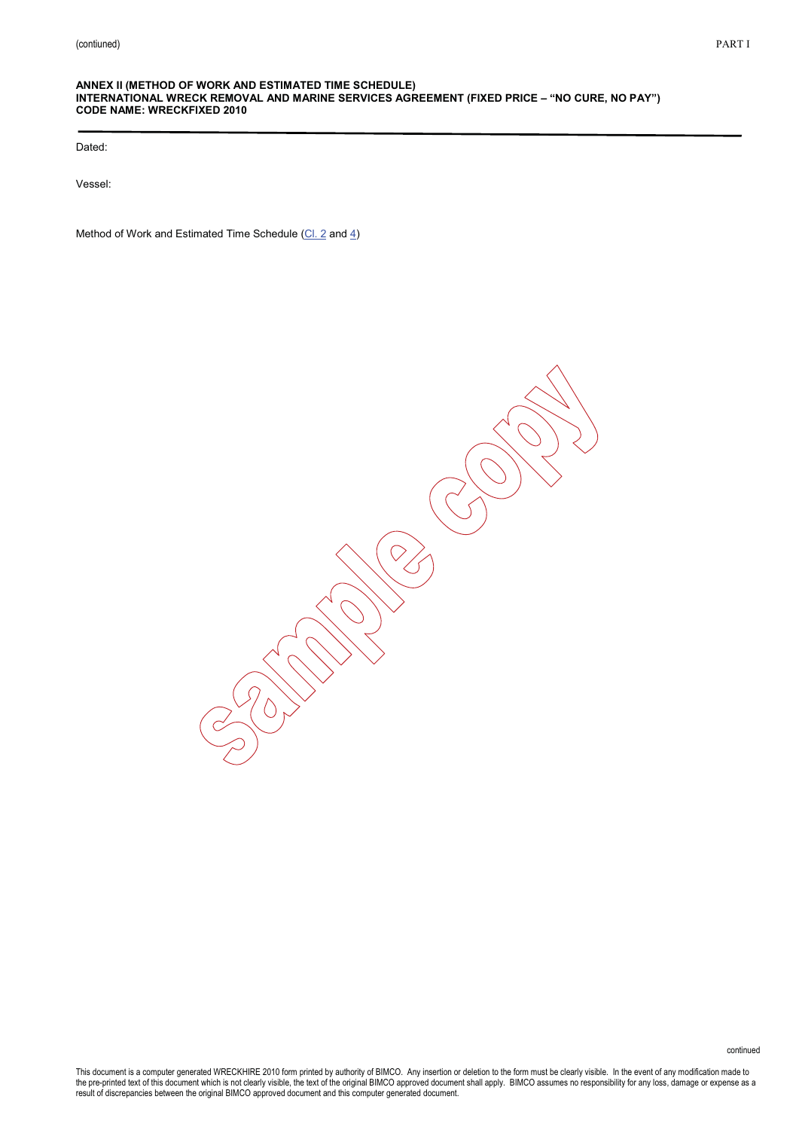#### **ANNEX II (METHOD OF WORK AND ESTIMATED TIME SCHEDULE) INTERNATIONAL WRECK REMOVAL AND MARINE SERVICES AGREEMENT (FIXED PRICE – "NO CURE, NO PAY") CODE NAME: WRECKFIXED 2010**

Dated:

Vessel:

Method of Work and Estimated Time Schedule (Cl. 2 and 4)

This document is a computer generated WRECKHIRE 2010 form printed by authority of BIMCO. Any insertion or deletion to the form must be clearly visible. In the event of any modification made to the pre-printed text of this document which is not clearly visible, the text of the original BIMCO approved document shall apply. BIMCO assumes no responsibility for any loss, damage or expense as a<br>result of discrepancies

continued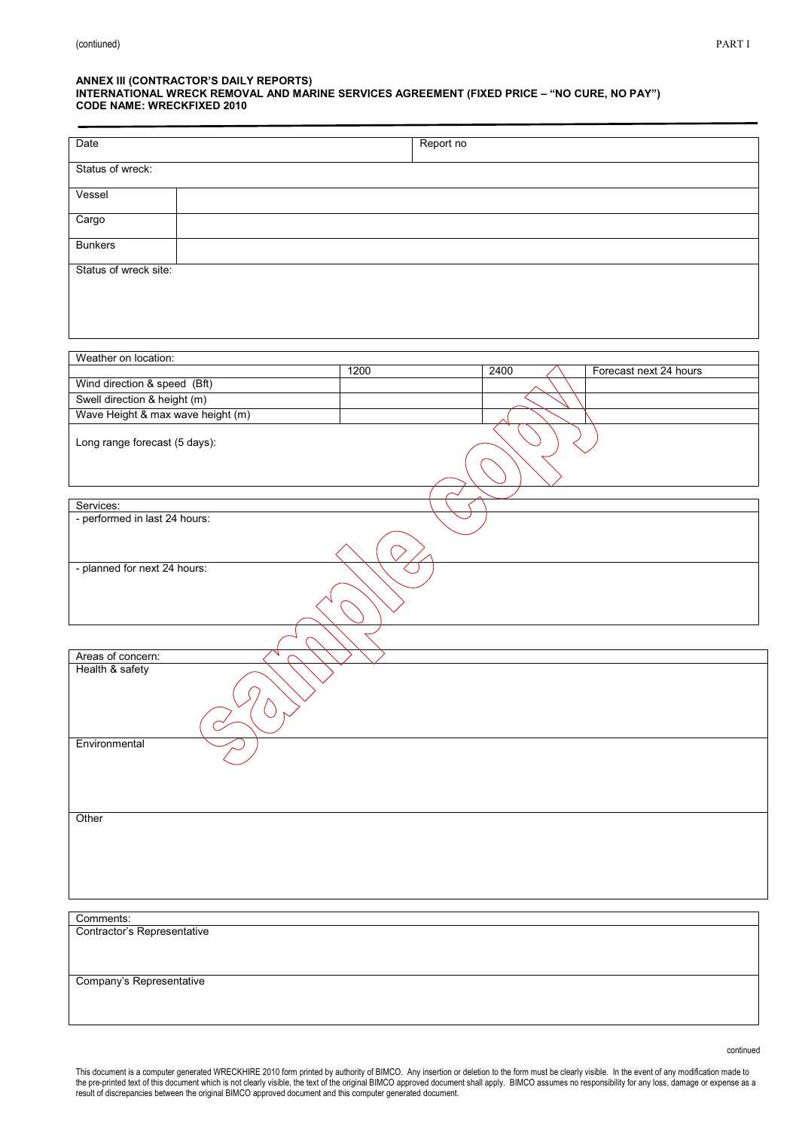## **ANNEX III (CONTRACTOR'S DAILY REPORTS) INTERNATIONAL WRECK REMOVAL AND MARINE SERVICES AGREEMENT (FIXED PRICE – "NO CURE, NO PAY") CODE NAME: WRECKFIXED 2010**

| Date                              |      | Report no |      |                        |  |  |
|-----------------------------------|------|-----------|------|------------------------|--|--|
| Status of wreck:                  |      |           |      |                        |  |  |
| Vessel                            |      |           |      |                        |  |  |
| Cargo                             |      |           |      |                        |  |  |
| <b>Bunkers</b>                    |      |           |      |                        |  |  |
| Status of wreck site:             |      |           |      |                        |  |  |
|                                   |      |           |      |                        |  |  |
|                                   |      |           |      |                        |  |  |
| Weather on location:              |      |           |      |                        |  |  |
|                                   | 1200 |           | 2400 | Forecast next 24 hours |  |  |
| Wind direction & speed (Bft)      |      |           |      |                        |  |  |
| Swell direction & height (m)      |      |           |      |                        |  |  |
| Wave Height & max wave height (m) |      |           |      |                        |  |  |
| Long range forecast (5 days):     |      |           |      |                        |  |  |
|                                   |      |           |      |                        |  |  |
|                                   |      |           |      |                        |  |  |
| Services:                         |      |           |      |                        |  |  |
| - performed in last 24 hours:     |      |           |      |                        |  |  |
|                                   |      |           |      |                        |  |  |
|                                   |      |           |      |                        |  |  |
| - planned for next 24 hours:      |      |           |      |                        |  |  |
|                                   |      |           |      |                        |  |  |
|                                   |      |           |      |                        |  |  |
|                                   |      |           |      |                        |  |  |
|                                   |      |           |      |                        |  |  |
| Areas of concern:                 |      |           |      |                        |  |  |
| Health & safety                   |      |           |      |                        |  |  |
|                                   |      |           |      |                        |  |  |
|                                   |      |           |      |                        |  |  |
|                                   |      |           |      |                        |  |  |
| Environmental                     |      |           |      |                        |  |  |
|                                   |      |           |      |                        |  |  |
|                                   |      |           |      |                        |  |  |
|                                   |      |           |      |                        |  |  |
|                                   |      |           |      |                        |  |  |
| Other                             |      |           |      |                        |  |  |
|                                   |      |           |      |                        |  |  |
|                                   |      |           |      |                        |  |  |
|                                   |      |           |      |                        |  |  |
|                                   |      |           |      |                        |  |  |
|                                   |      |           |      |                        |  |  |
| Comments:                         |      |           |      |                        |  |  |
| Contractor's Representative       |      |           |      |                        |  |  |
|                                   |      |           |      |                        |  |  |
|                                   |      |           |      |                        |  |  |
| Company's Representative          |      |           |      |                        |  |  |

This document is a computer generated WRECKHIRE 2010 form printed by authority of BIMCO. Any insertion or deletion to the form must be clearly visible. In the event of any modification made to the pre-printed text of this document which is not clearly visible, the text of the original BIMCO approved document shall apply. BIMCO assumes no responsibility for any loss, damage or expense as a<br>result of discrepancies

continued